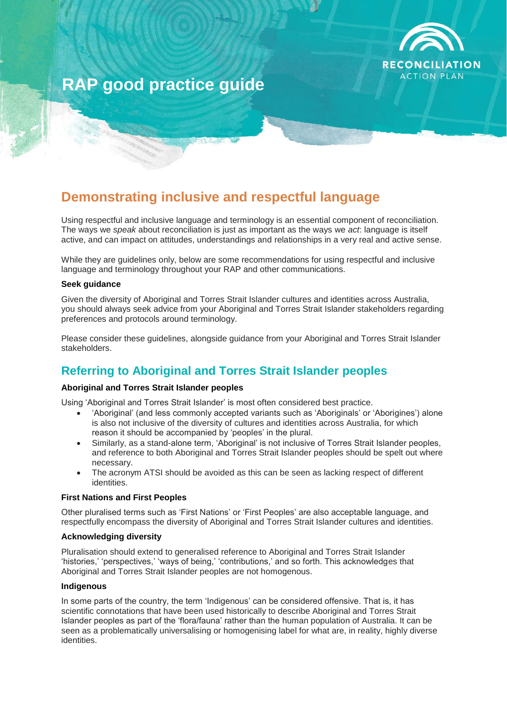

# **RAP good practice guide**

## **Demonstrating inclusive and respectful language**

Using respectful and inclusive language and terminology is an essential component of reconciliation. The ways we *speak* about reconciliation is just as important as the ways we *act*: language is itself active, and can impact on attitudes, understandings and relationships in a very real and active sense.

While they are guidelines only, below are some recommendations for using respectful and inclusive language and terminology throughout your RAP and other communications.

#### **Seek guidance**

Given the diversity of Aboriginal and Torres Strait Islander cultures and identities across Australia, you should always seek advice from your Aboriginal and Torres Strait Islander stakeholders regarding preferences and protocols around terminology.

Please consider these guidelines, alongside guidance from your Aboriginal and Torres Strait Islander stakeholders.

## **Referring to Aboriginal and Torres Strait Islander peoples**

#### **Aboriginal and Torres Strait Islander peoples**

Using 'Aboriginal and Torres Strait Islander' is most often considered best practice.

- 'Aboriginal' (and less commonly accepted variants such as 'Aboriginals' or 'Aborigines') alone is also not inclusive of the diversity of cultures and identities across Australia, for which reason it should be accompanied by 'peoples' in the plural.
- Similarly, as a stand-alone term, 'Aboriginal' is not inclusive of Torres Strait Islander peoples, and reference to both Aboriginal and Torres Strait Islander peoples should be spelt out where necessary.
- The acronym ATSI should be avoided as this can be seen as lacking respect of different identities.

#### **First Nations and First Peoples**

Other pluralised terms such as 'First Nations' or 'First Peoples' are also acceptable language, and respectfully encompass the diversity of Aboriginal and Torres Strait Islander cultures and identities.

#### **Acknowledging diversity**

Pluralisation should extend to generalised reference to Aboriginal and Torres Strait Islander 'histories,' 'perspectives,' 'ways of being,' 'contributions,' and so forth. This acknowledges that Aboriginal and Torres Strait Islander peoples are not homogenous.

#### **Indigenous**

In some parts of the country, the term 'Indigenous' can be considered offensive. That is, it has scientific connotations that have been used historically to describe Aboriginal and Torres Strait Islander peoples as part of the 'flora/fauna' rather than the human population of Australia. It can be seen as a problematically universalising or homogenising label for what are, in reality, highly diverse identities.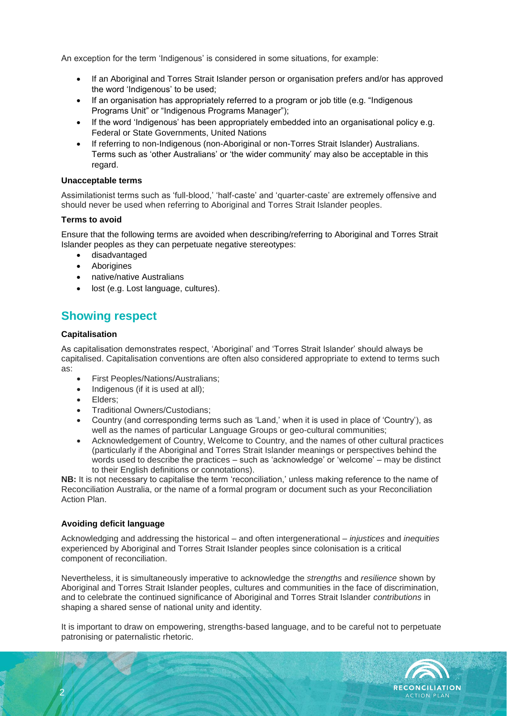An exception for the term 'Indigenous' is considered in some situations, for example:

- If an Aboriginal and Torres Strait Islander person or organisation prefers and/or has approved the word 'Indigenous' to be used;
- If an organisation has appropriately referred to a program or job title (e.g. "Indigenous Programs Unit" or "Indigenous Programs Manager");
- If the word 'Indigenous' has been appropriately embedded into an organisational policy e.g. Federal or State Governments, United Nations
- If referring to non-Indigenous (non-Aboriginal or non-Torres Strait Islander) Australians. Terms such as 'other Australians' or 'the wider community' may also be acceptable in this regard.

#### **Unacceptable terms**

Assimilationist terms such as 'full-blood,' 'half-caste' and 'quarter-caste' are extremely offensive and should never be used when referring to Aboriginal and Torres Strait Islander peoples.

#### **Terms to avoid**

Ensure that the following terms are avoided when describing/referring to Aboriginal and Torres Strait Islander peoples as they can perpetuate negative stereotypes:

- disadvantaged
- **Aborigines**
- native/native Australians
- lost (e.g. Lost language, cultures).

## **Showing respect**

#### **Capitalisation**

As capitalisation demonstrates respect, 'Aboriginal' and 'Torres Strait Islander' should always be capitalised. Capitalisation conventions are often also considered appropriate to extend to terms such as:

- First Peoples/Nations/Australians;
- Indigenous (if it is used at all);
- Elders;
- Traditional Owners/Custodians;
- Country (and corresponding terms such as 'Land,' when it is used in place of 'Country'), as well as the names of particular Language Groups or geo-cultural communities;
- Acknowledgement of Country, Welcome to Country, and the names of other cultural practices (particularly if the Aboriginal and Torres Strait Islander meanings or perspectives behind the words used to describe the practices – such as 'acknowledge' or 'welcome' – may be distinct to their English definitions or connotations).

**NB:** It is not necessary to capitalise the term 'reconciliation,' unless making reference to the name of Reconciliation Australia, or the name of a formal program or document such as your Reconciliation Action Plan.

#### **Avoiding deficit language**

2

Acknowledging and addressing the historical – and often intergenerational – *injustices* and *inequities* experienced by Aboriginal and Torres Strait Islander peoples since colonisation is a critical component of reconciliation.

Nevertheless, it is simultaneously imperative to acknowledge the *strengths* and *resilience* shown by Aboriginal and Torres Strait Islander peoples, cultures and communities in the face of discrimination, and to celebrate the continued significance of Aboriginal and Torres Strait Islander *contributions* in shaping a shared sense of national unity and identity.

It is important to draw on empowering, strengths-based language, and to be careful not to perpetuate patronising or paternalistic rhetoric.